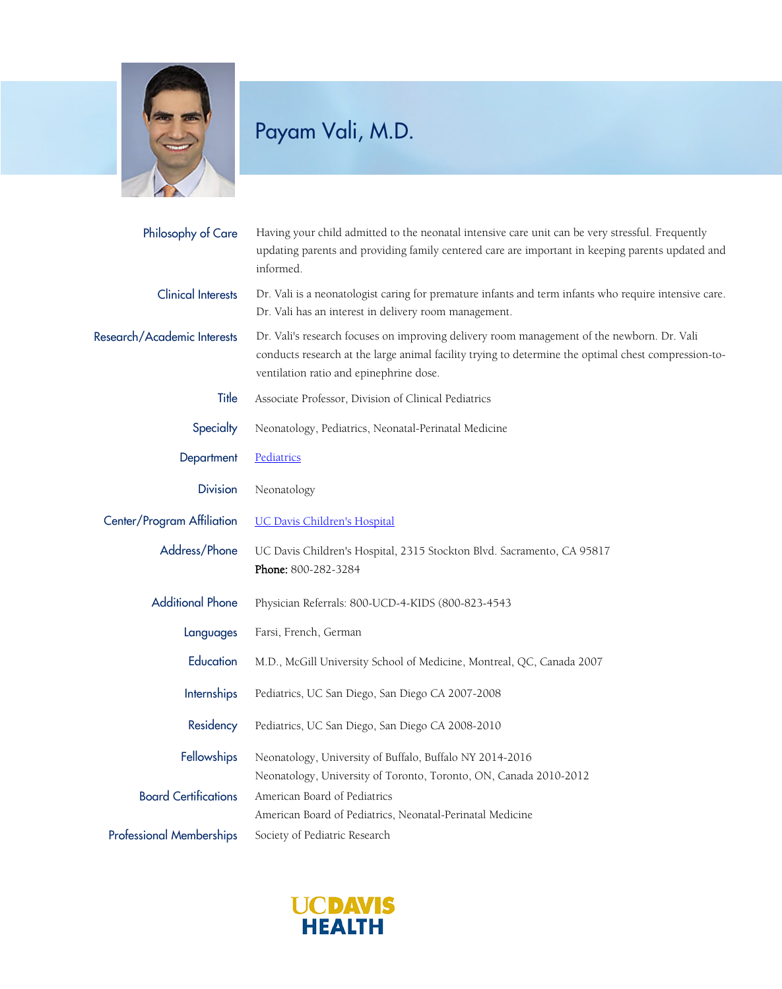

## Payam Vali, M.D.

| Philosophy of Care              | Having your child admitted to the neonatal intensive care unit can be very stressful. Frequently<br>updating parents and providing family centered care are important in keeping parents updated and<br>informed.                             |
|---------------------------------|-----------------------------------------------------------------------------------------------------------------------------------------------------------------------------------------------------------------------------------------------|
| <b>Clinical Interests</b>       | Dr. Vali is a neonatologist caring for premature infants and term infants who require intensive care.<br>Dr. Vali has an interest in delivery room management.                                                                                |
| Research/Academic Interests     | Dr. Vali's research focuses on improving delivery room management of the newborn. Dr. Vali<br>conducts research at the large animal facility trying to determine the optimal chest compression-to-<br>ventilation ratio and epinephrine dose. |
| Title                           | Associate Professor, Division of Clinical Pediatrics                                                                                                                                                                                          |
| Specialty                       | Neonatology, Pediatrics, Neonatal-Perinatal Medicine                                                                                                                                                                                          |
| Department                      | Pediatrics                                                                                                                                                                                                                                    |
| <b>Division</b>                 | Neonatology                                                                                                                                                                                                                                   |
| Center/Program Affiliation      | <b>UC Davis Children's Hospital</b>                                                                                                                                                                                                           |
| Address/Phone                   | UC Davis Children's Hospital, 2315 Stockton Blvd. Sacramento, CA 95817<br>Phone: 800-282-3284                                                                                                                                                 |
| <b>Additional Phone</b>         | Physician Referrals: 800-UCD-4-KIDS (800-823-4543                                                                                                                                                                                             |
| Languages                       | Farsi, French, German                                                                                                                                                                                                                         |
| Education                       | M.D., McGill University School of Medicine, Montreal, QC, Canada 2007                                                                                                                                                                         |
| <b>Internships</b>              | Pediatrics, UC San Diego, San Diego CA 2007-2008                                                                                                                                                                                              |
| Residency                       | Pediatrics, UC San Diego, San Diego CA 2008-2010                                                                                                                                                                                              |
| Fellowships                     | Neonatology, University of Buffalo, Buffalo NY 2014-2016                                                                                                                                                                                      |
| <b>Board Certifications</b>     | Neonatology, University of Toronto, Toronto, ON, Canada 2010-2012<br>American Board of Pediatrics<br>American Board of Pediatrics, Neonatal-Perinatal Medicine                                                                                |
| <b>Professional Memberships</b> | Society of Pediatric Research                                                                                                                                                                                                                 |

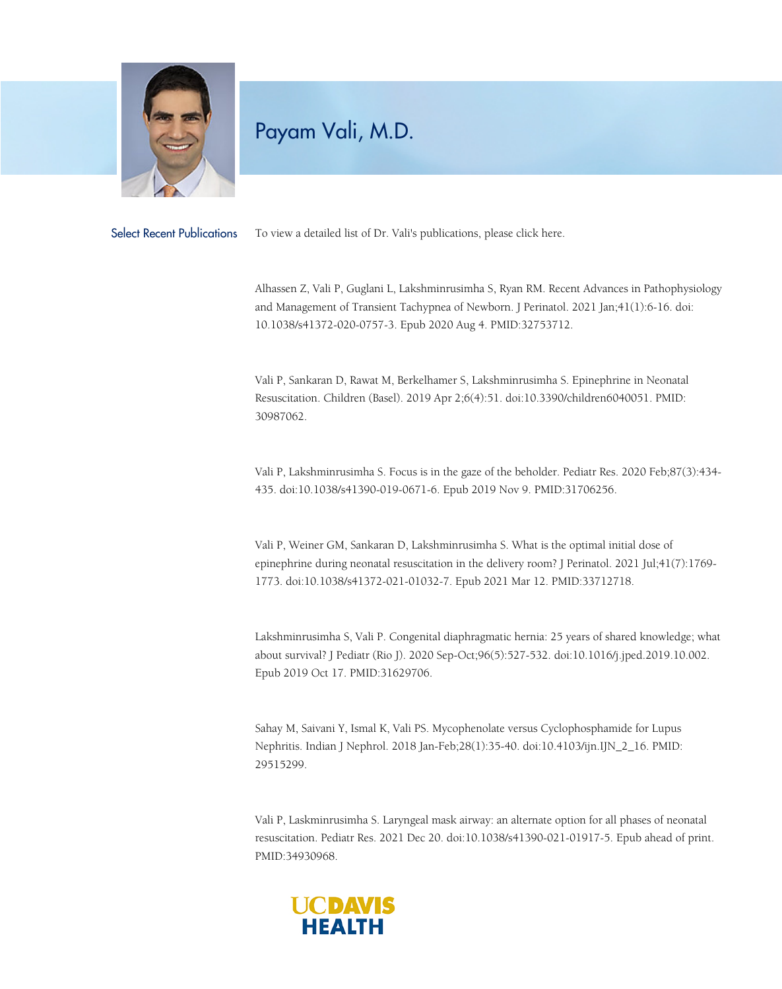

## Payam Vali, M.D.

Select Recent Publications To view a detailed list of Dr. Vali's publications, please click [here.](https://www.ncbi.nlm.nih.gov/pubmed?term=vali%20p)

Alhassen Z, Vali P, Guglani L, Lakshminrusimha S, Ryan RM. Recent Advances in Pathophysiology and Management of Transient Tachypnea of Newborn. J Perinatol. 2021 Jan;41(1):6-16. doi: 10.1038/s41372-020-0757-3. Epub 2020 Aug 4. PMID:32753712.

Vali P, Sankaran D, Rawat M, Berkelhamer S, Lakshminrusimha S. Epinephrine in Neonatal Resuscitation. Children (Basel). 2019 Apr 2;6(4):51. doi:10.3390/children6040051. PMID: 30987062.

Vali P, Lakshminrusimha S. Focus is in the gaze of the beholder. Pediatr Res. 2020 Feb;87(3):434- 435. doi:10.1038/s41390-019-0671-6. Epub 2019 Nov 9. PMID:31706256.

Vali P, Weiner GM, Sankaran D, Lakshminrusimha S. What is the optimal initial dose of epinephrine during neonatal resuscitation in the delivery room? J Perinatol. 2021 Jul;41(7):1769-1773. doi:10.1038/s41372-021-01032-7. Epub 2021 Mar 12. PMID:33712718.

Lakshminrusimha S, Vali P. Congenital diaphragmatic hernia: 25 years of shared knowledge; what about survival? J Pediatr (Rio J). 2020 Sep-Oct;96(5):527-532. doi:10.1016/j.jped.2019.10.002. Epub 2019 Oct 17. PMID:31629706.

Sahay M, Saivani Y, Ismal K, Vali PS. Mycophenolate versus Cyclophosphamide for Lupus Nephritis. Indian J Nephrol. 2018 Jan-Feb;28(1):35-40. doi:10.4103/ijn.IJN\_2\_16. PMID: 29515299.

Vali P, Laskminrusimha S. Laryngeal mask airway: an alternate option for all phases of neonatal resuscitation. Pediatr Res. 2021 Dec 20. doi:10.1038/s41390-021-01917-5. Epub ahead of print. PMID:34930968.